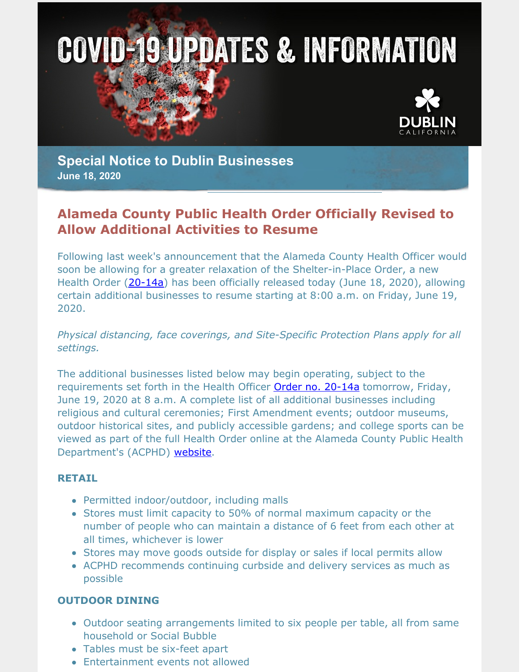



**Special Notice to Dublin Businesses June 18, 2020**

# **Alameda County Public Health Order Officially Revised to Allow Additional Activities to Resume**

Following last week's announcement that the Alameda County Health Officer would soon be allowing for a greater relaxation of the Shelter-in-Place Order, a new Health Order [\(20-14a](http://www.acphd.org/media/587163/alameda-county-health-officer-order-20-14-a-english.pdf)) has been officially released today (June 18, 2020), allowing certain additional businesses to resume starting at 8:00 a.m. on Friday, June 19, 2020.

#### *Physical distancing, face coverings, and Site-Specific Protection Plans apply for all settings.*

The additional businesses listed below may begin operating, subject to the requirements set forth in the Health Officer Order no. [20-14a](http://www.acphd.org/media/587163/alameda-county-health-officer-order-20-14-a-english.pdf) tomorrow, Friday, June 19, 2020 at 8 a.m. A complete list of all additional businesses including religious and cultural ceremonies; First Amendment events; outdoor museums, outdoor historical sites, and publicly accessible gardens; and college sports can be viewed as part of the full Health Order online at the Alameda County Public Health Department's (ACPHD) [website](http://www.acphd.org/2019-ncov/health-officer-orders.aspx).

### **RETAIL**

- Permitted indoor/outdoor, including malls
- Stores must limit capacity to 50% of normal maximum capacity or the number of people who can maintain a distance of 6 feet from each other at all times, whichever is lower
- Stores may move goods outside for display or sales if local permits allow
- ACPHD recommends continuing curbside and delivery services as much as possible

#### **OUTDOOR DINING**

- Outdoor seating arrangements limited to six people per table, all from same household or Social Bubble
- Tables must be six-feet apart
- Entertainment events not allowed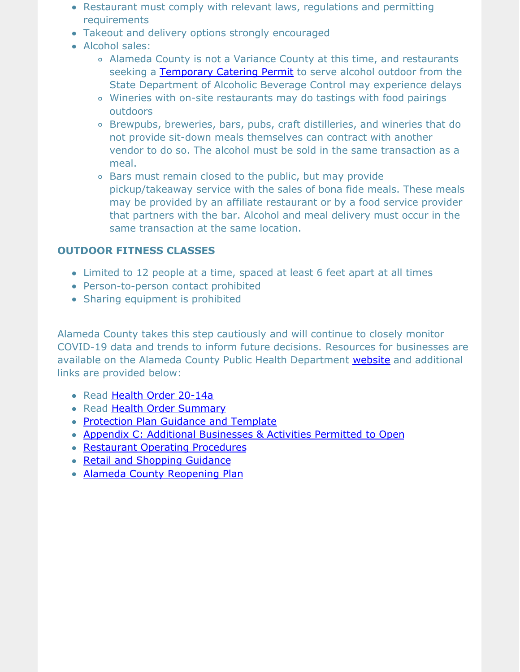- Restaurant must comply with relevant laws, regulations and permitting **requirements**
- Takeout and delivery options strongly encouraged
- Alcohol sales:
	- Alameda County is not a Variance County at this time, and restaurants seeking a [Temporary](https://www.abc.ca.gov/wp-content/uploads/forms/ABC218CV19.pdf) Catering Permit to serve alcohol outdoor from the State Department of Alcoholic Beverage Control may experience delays
	- Wineries with on-site restaurants may do tastings with food pairings outdoors
	- Brewpubs, breweries, bars, pubs, craft distilleries, and wineries that do not provide sit-down meals themselves can contract with another vendor to do so. The alcohol must be sold in the same transaction as a meal.
	- Bars must remain closed to the public, but may provide pickup/takeaway service with the sales of bona fide meals. These meals may be provided by an affiliate restaurant or by a food service provider that partners with the bar. Alcohol and meal delivery must occur in the same transaction at the same location.

#### **OUTDOOR FITNESS CLASSES**

- Limited to 12 people at a time, spaced at least 6 feet apart at all times
- Person-to-person contact prohibited
- Sharing equipment is prohibited

Alameda County takes this step cautiously and will continue to closely monitor COVID-19 data and trends to inform future decisions. Resources for businesses are available on the Alameda County Public Health Department [website](http://www.acphd.org/2019-ncov/health-officer-orders.aspx) and additional links are provided below:

- Read Health Order [20-14a](http://www.acphd.org/media/587163/alameda-county-health-officer-order-20-14-a-english.pdf)
- Read Health Order [Summary](http://www.acphd.org/media/587287/alameda-county-health-officer-order-summary-20-14-a-english.pdf)
- [Protection](http://www.acphd.org/media/587169/health-officer-order-20-14-a-appendix-a-protection-plan-guidance-and-template-english.pdf) Plan Guidance and Template
- Appendix C: Additional [Businesses](http://www.acphd.org/media/587211/health-officer-order-20-14-a-appendix-c-1-additional-businesses-permitted-to-operate-english.pdf) & Activities Permitted to Open
- [Restaurant](http://www.acphd.org/media/587220/health-officer-order-20-14-a-restaurant-operating-procedures-english.pdf) Operating Procedures
- Retail and [Shopping](http://www.acphd.org/media/587166/health-officer-order-20-14-a-retail-and-shopping-center-re-opening-guidance-english.pdf) Guidance
- Alameda County [Reopening](http://www.acphd.org/media/584319/alameda-county-covid-19-reopening-plan-english.pdf) Plan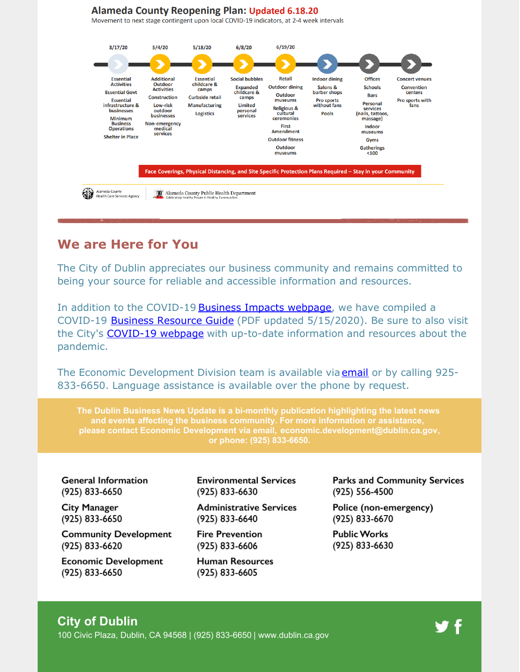#### **Alameda County Reopening Plan: Updated 6.18.20**

Movement to next stage contingent upon local COVID-19 indicators, at 2-4 week intervals



## **We are Here for You**

The City of Dublin appreciates our business community and remains committed to being your source for reliable and accessible information and resources.

In addition to the COVID-19 Business Impacts [webpage](https://www.dublin.ca.gov/2177/COVID-19-Business-Impacts), we have compiled a COVID-19 Business [Resource](https://www.dublin.ca.gov/DocumentCenter/View/22168) Guide (PDF updated 5/15/2020). Be sure to also visit the City's **[COVID-19](https://www.dublin.ca.gov/coronavirus) webpage** with up-to-date information and resources about the pandemic.

The Economic Development Division team is available via **[email](mailto:economic.development@dublin.ca.gov)** or by calling 925-833-6650. Language assistance is available over the phone by request.

**The Dublin Business News Update is a bi-monthly publication highlighting the latest news and events affecting the business community. For more information or assistance, please contact Economic Development via email, [economic.development@dublin.ca.gov](mailto:economic.development@dublin.ca.gov), or phone: (925) 833-6650.**

**General Information** (925) 833-6650

**City Manager** (925) 833-6650

**Community Development** (925) 833-6620

**Economic Development**  $(925) 833 - 6650$ 

**Environmental Services** (925) 833-6630

**Administrative Services** (925) 833-6640

**Fire Prevention** (925) 833-6606

**Human Resources** (925) 833-6605

**Parks and Community Services** (925) 556-4500

Police (non-emergency) (925) 833-6670

**Public Works** (925) 833-6630